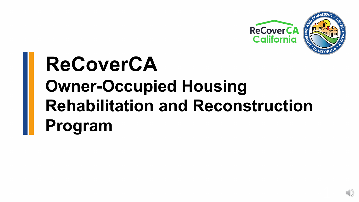

# **ReCoverCA Owner-Occupied Housing Rehabilitation and Reconstruction Program**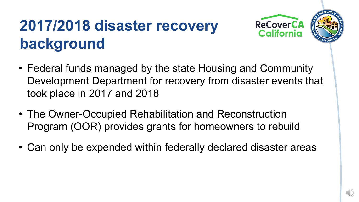## **2017/2018 disaster recovery background**





- The Owner-Occupied Rehabilitation and Reconstruction Program (OOR) provides grants for homeowners to rebuild
- Can only be expended within federally declared disaster areas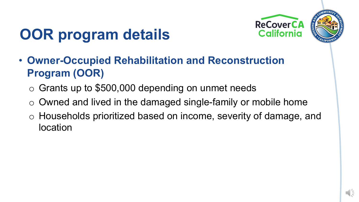



## **OOR program details**

- **Owner-Occupied Rehabilitation and Reconstruction Program (OOR)**
	- $\circ$  Grants up to \$500,000 depending on unmet needs
	- o Owned and lived in the damaged single-family or mobile home
	- o Households prioritized based on income, severity of damage, and location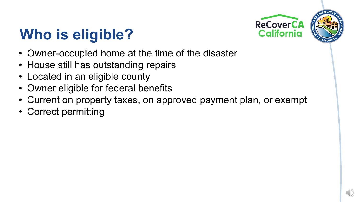

## **Who is eligible?**

- Owner-occupied home at the time of the disaster
- House still has outstanding repairs
- Located in an eligible county
- Owner eligible for federal benefits
- Current on property taxes, on approved payment plan, or exempt
- Correct permitting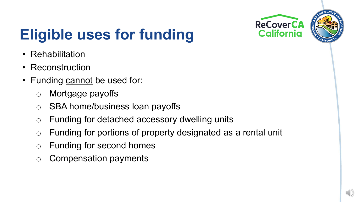

## **Eligible uses for funding**

- Rehabilitation
- Reconstruction
- Funding cannot be used for:
	- o Mortgage payoffs
	- o SBA home/business loan payoffs
	- o Funding for detached accessory dwelling units
	- o Funding for portions of property designated as a rental unit
	- o Funding for second homes
	- o Compensation payments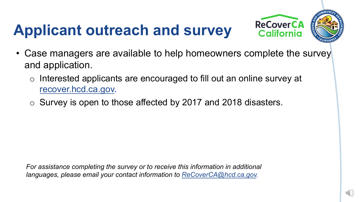## **Applicant outreach and survey**



- Case managers are available to help homeowners complete the survey and application.
	- o Interested applicants are encouraged to fill out an online survey at [recover.hcd.ca.gov.](https://recover.hcd.ca.gov/)
	- o Survey is open to those affected by 2017 and 2018 disasters.

*For assistance completing the survey or to receive this information in additional languages, please email your contact information to [ReCoverCA@hcd.ca.gov.](mailto:ReCoverCA@hcd.ca.gov)*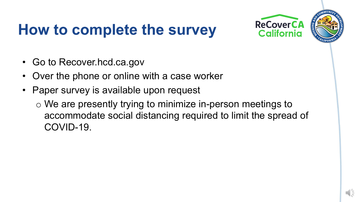### **How to complete the survey**



- Go to Recover.hcd.ca.gov
- Over the phone or online with a case worker
- Paper survey is available upon request
	- o We are presently trying to minimize in-person meetings to accommodate social distancing required to limit the spread of COVID-19.